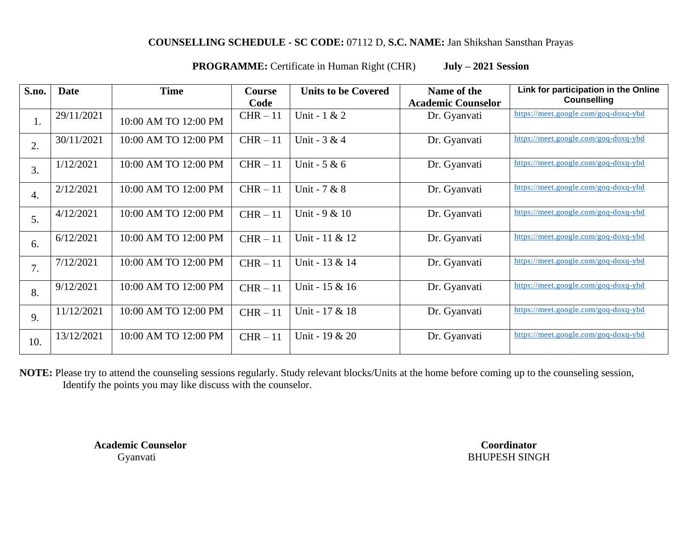## **COUNSELLING SCHEDULE - SC CODE:** 07112 D, **S.C. NAME:** Jan Shikshan Sansthan Prayas

**PROGRAMME:** Certificate in Human Right (CHR) **July – 2021 Session**

| S.no.            | Date       | <b>Time</b>          | Course     | <b>Units to be Covered</b> | Name of the               | Link for participation in the Online |
|------------------|------------|----------------------|------------|----------------------------|---------------------------|--------------------------------------|
|                  |            |                      | Code       |                            | <b>Academic Counselor</b> | <b>Counselling</b>                   |
| 1.               | 29/11/2021 | 10:00 AM TO 12:00 PM | $CHR - 11$ | Unit - 1 & 2               | Dr. Gyanvati              | https://meet.google.com/goq-doxq-ybd |
| 2.               | 30/11/2021 | 10:00 AM TO 12:00 PM | $CHR - 11$ | Unit - $3 & 4$             | Dr. Gyanvati              | https://meet.google.com/goq-doxq-ybd |
| 3.               | 1/12/2021  | 10:00 AM TO 12:00 PM | $CHR - 11$ | Unit - $5 & 6$             | Dr. Gyanvati              | https://meet.google.com/goq-doxq-ybd |
| $\overline{4}$ . | 2/12/2021  | 10:00 AM TO 12:00 PM | $CHR - 11$ | Unit - 7 & 8               | Dr. Gyanvati              | https://meet.google.com/goq-doxq-ybd |
| 5.               | 4/12/2021  | 10:00 AM TO 12:00 PM | $CHR - 11$ | Unit - 9 & 10              | Dr. Gyanvati              | https://meet.google.com/goq-doxq-ybd |
| 6.               | 6/12/2021  | 10:00 AM TO 12:00 PM | $CHR - 11$ | Unit - 11 & 12             | Dr. Gyanvati              | https://meet.google.com/goq-doxq-ybd |
| 7.               | 7/12/2021  | 10:00 AM TO 12:00 PM | $CHR - 11$ | Unit - 13 & 14             | Dr. Gyanvati              | https://meet.google.com/goq-doxq-ybd |
| 8.               | 9/12/2021  | 10:00 AM TO 12:00 PM | $CHR - 11$ | Unit - 15 & 16             | Dr. Gyanvati              | https://meet.google.com/goq-doxq-ybd |
| 9.               | 11/12/2021 | 10:00 AM TO 12:00 PM | $CHR - 11$ | Unit - 17 & 18             | Dr. Gyanvati              | https://meet.google.com/goq-doxq-ybd |
| 10.              | 13/12/2021 | 10:00 AM TO 12:00 PM | $CHR - 11$ | Unit - 19 & 20             | Dr. Gyanvati              | https://meet.google.com/goq-doxq-ybd |

**NOTE:** Please try to attend the counseling sessions regularly. Study relevant blocks/Units at the home before coming up to the counseling session, Identify the points you may like discuss with the counselor.

**Academic Counselor Coordinator**

Gyanvati BHUPESH SINGH